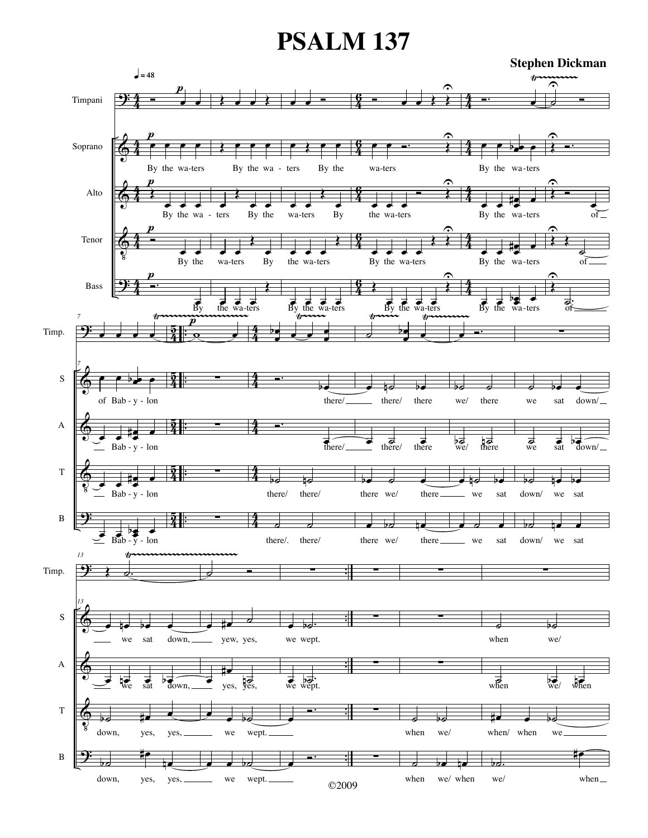## **PSALM 137**

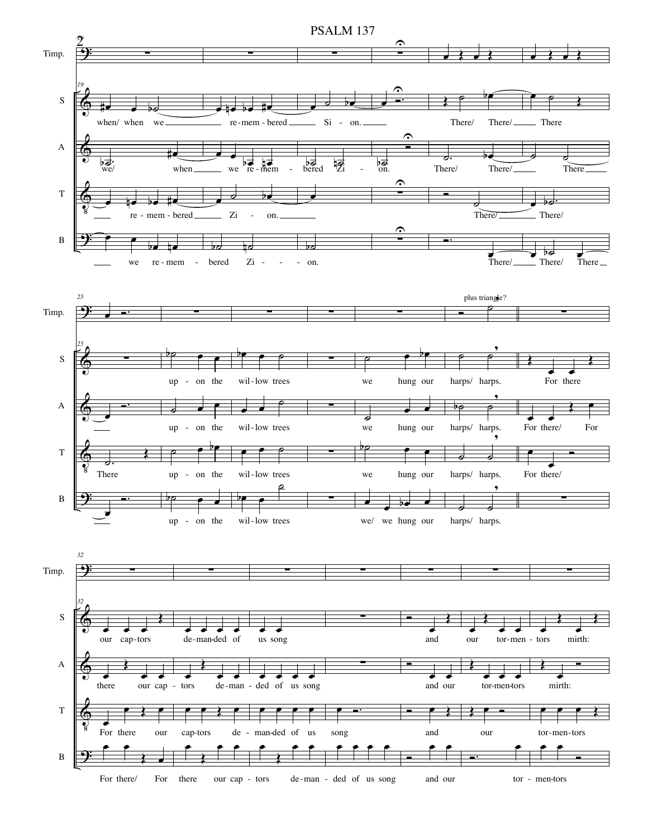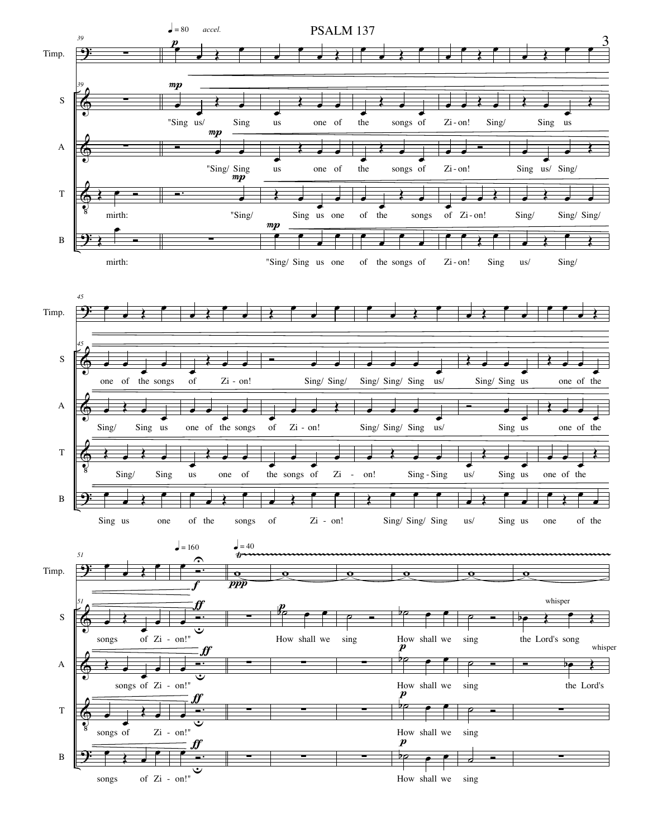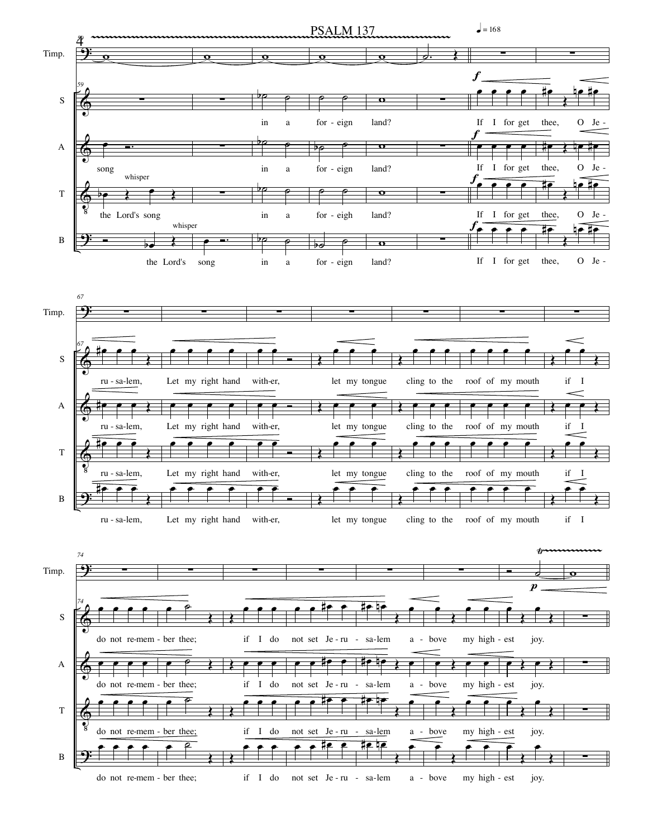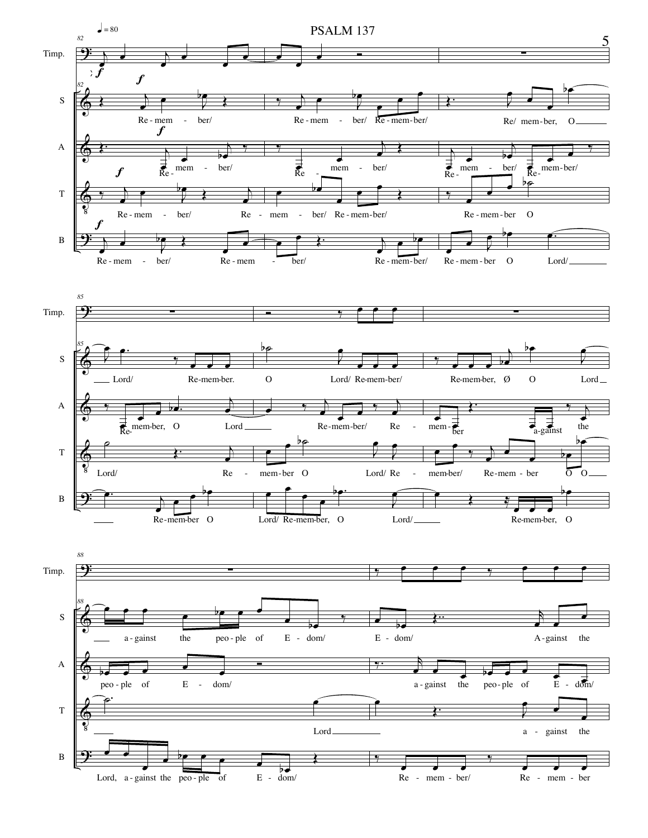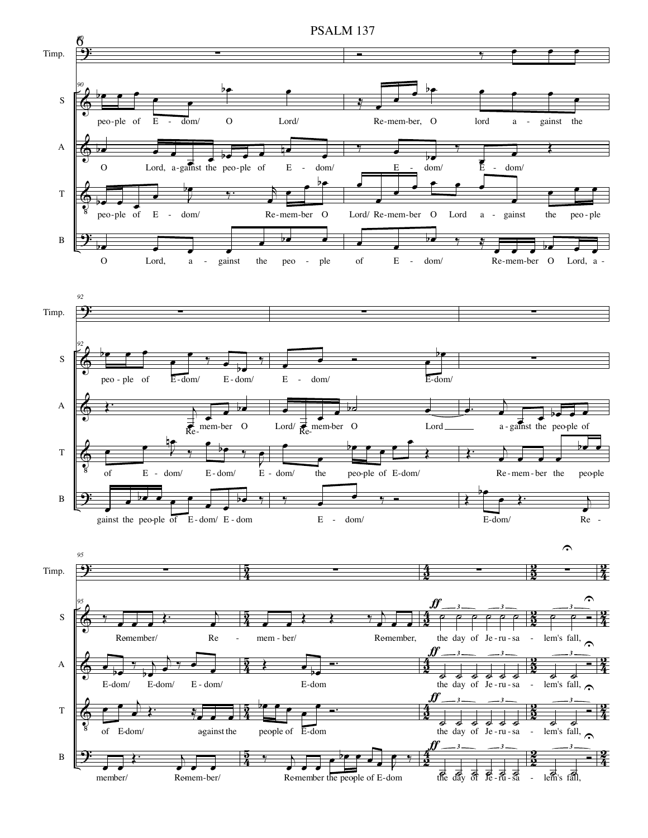

PSALM 137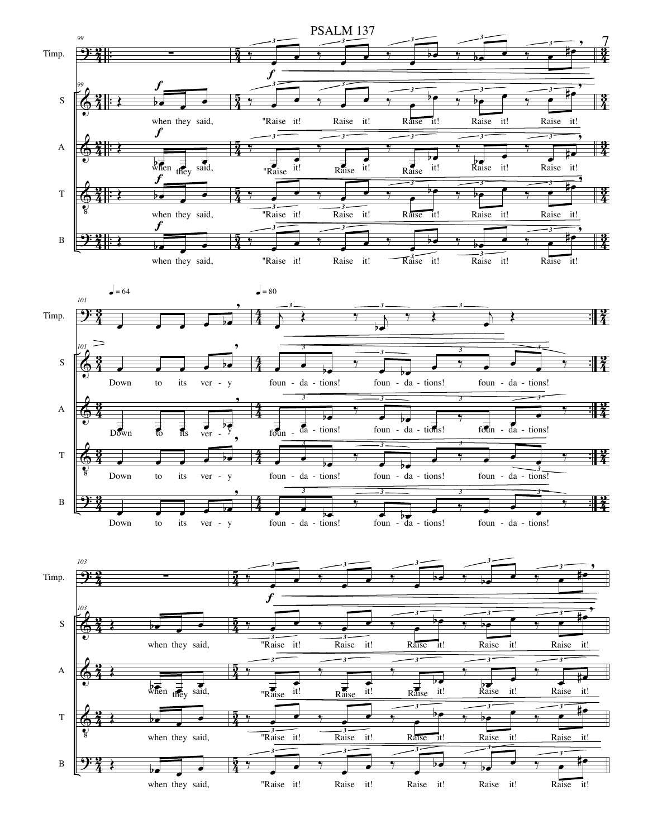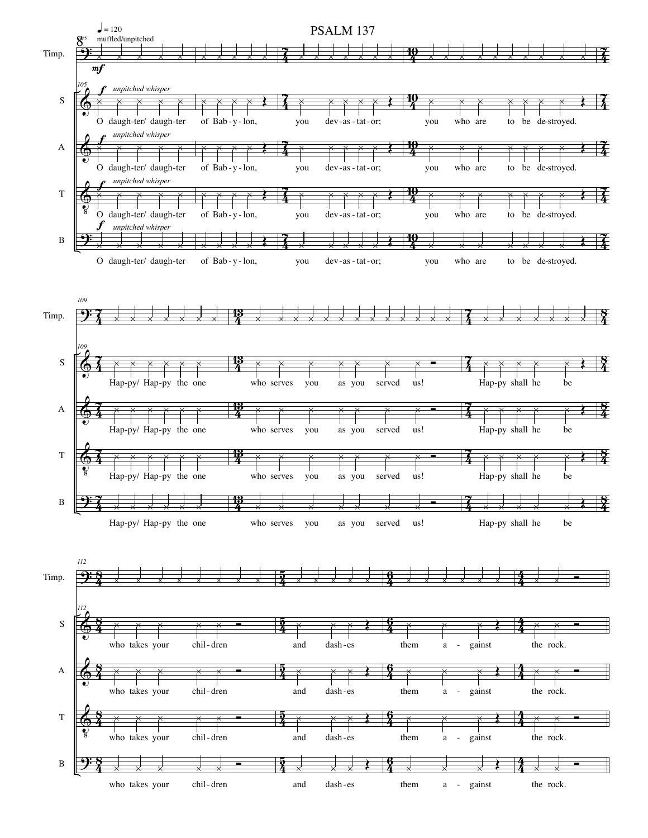